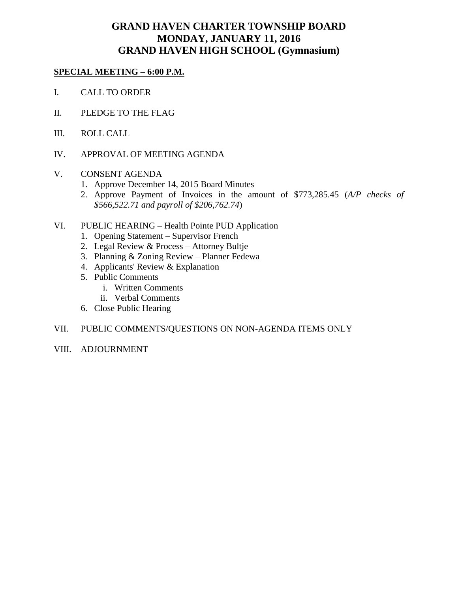# **GRAND HAVEN CHARTER TOWNSHIP BOARD MONDAY, JANUARY 11, 2016 GRAND HAVEN HIGH SCHOOL (Gymnasium)**

### **SPECIAL MEETING – 6:00 P.M.**

- I. CALL TO ORDER
- II. PLEDGE TO THE FLAG
- III. ROLL CALL
- IV. APPROVAL OF MEETING AGENDA
- V. CONSENT AGENDA
	- 1. Approve December 14, 2015 Board Minutes
	- 2. Approve Payment of Invoices in the amount of \$773,285.45 (*A/P checks of \$566,522.71 and payroll of \$206,762.74*)
- VI. PUBLIC HEARING Health Pointe PUD Application
	- 1. Opening Statement Supervisor French
	- 2. Legal Review & Process Attorney Bultje
	- 3. Planning & Zoning Review Planner Fedewa
	- 4. Applicants' Review & Explanation
	- 5. Public Comments
		- i. Written Comments
		- ii. Verbal Comments
	- 6. Close Public Hearing

### VII. PUBLIC COMMENTS/QUESTIONS ON NON-AGENDA ITEMS ONLY

VIII. ADJOURNMENT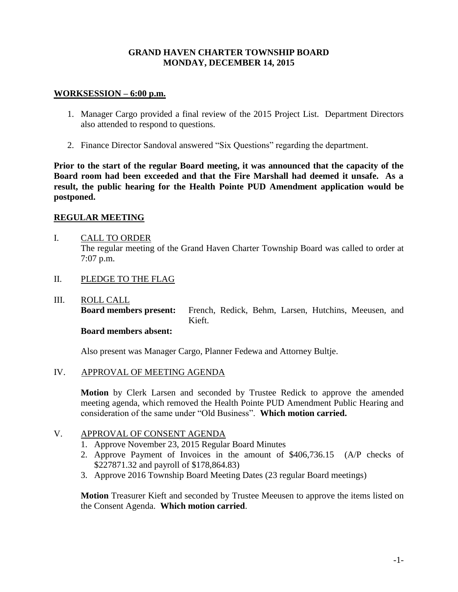## **GRAND HAVEN CHARTER TOWNSHIP BOARD MONDAY, DECEMBER 14, 2015**

#### **WORKSESSION – 6:00 p.m.**

- 1. Manager Cargo provided a final review of the 2015 Project List. Department Directors also attended to respond to questions.
- 2. Finance Director Sandoval answered "Six Questions" regarding the department.

**Prior to the start of the regular Board meeting, it was announced that the capacity of the Board room had been exceeded and that the Fire Marshall had deemed it unsafe. As a result, the public hearing for the Health Pointe PUD Amendment application would be postponed.**

### **REGULAR MEETING**

- I. CALL TO ORDER The regular meeting of the Grand Haven Charter Township Board was called to order at 7:07 p.m.
- II. PLEDGE TO THE FLAG
- III. ROLL CALL

**Board members present:** French, Redick, Behm, Larsen, Hutchins, Meeusen, and Kieft.

## **Board members absent:**

Also present was Manager Cargo, Planner Fedewa and Attorney Bultje.

IV. APPROVAL OF MEETING AGENDA

**Motion** by Clerk Larsen and seconded by Trustee Redick to approve the amended meeting agenda, which removed the Health Pointe PUD Amendment Public Hearing and consideration of the same under "Old Business". **Which motion carried.**

## V. APPROVAL OF CONSENT AGENDA

- 1. Approve November 23, 2015 Regular Board Minutes
- 2. Approve Payment of Invoices in the amount of \$406,736.15 (A/P checks of \$227871.32 and payroll of \$178,864.83)
- 3. Approve 2016 Township Board Meeting Dates (23 regular Board meetings)

**Motion** Treasurer Kieft and seconded by Trustee Meeusen to approve the items listed on the Consent Agenda. **Which motion carried**.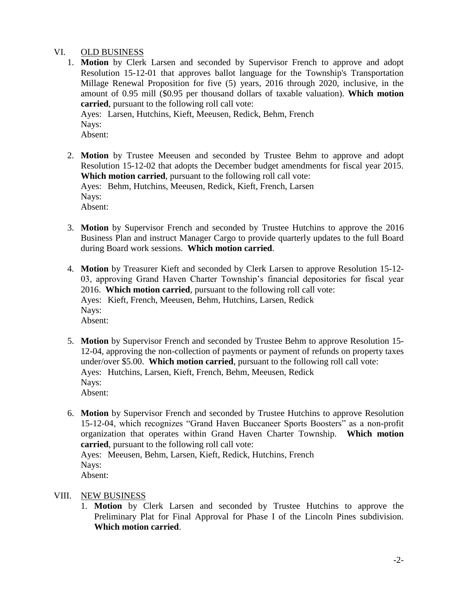## VI. OLD BUSINESS

1. **Motion** by Clerk Larsen and seconded by Supervisor French to approve and adopt Resolution 15-12-01 that approves ballot language for the Township's Transportation Millage Renewal Proposition for five (5) years, 2016 through 2020, inclusive, in the amount of 0.95 mill (\$0.95 per thousand dollars of taxable valuation). **Which motion carried**, pursuant to the following roll call vote:

Ayes: Larsen, Hutchins, Kieft, Meeusen, Redick, Behm, French Nays: Absent:

2. **Motion** by Trustee Meeusen and seconded by Trustee Behm to approve and adopt Resolution 15-12-02 that adopts the December budget amendments for fiscal year 2015. **Which motion carried**, pursuant to the following roll call vote: Ayes: Behm, Hutchins, Meeusen, Redick, Kieft, French, Larsen Nays: Absent:

- 3. **Motion** by Supervisor French and seconded by Trustee Hutchins to approve the 2016 Business Plan and instruct Manager Cargo to provide quarterly updates to the full Board during Board work sessions. **Which motion carried**.
- 4. **Motion** by Treasurer Kieft and seconded by Clerk Larsen to approve Resolution 15-12- 03, approving Grand Haven Charter Township's financial depositories for fiscal year 2016. **Which motion carried**, pursuant to the following roll call vote: Ayes: Kieft, French, Meeusen, Behm, Hutchins, Larsen, Redick Nays: Absent:
- 5. **Motion** by Supervisor French and seconded by Trustee Behm to approve Resolution 15- 12-04, approving the non-collection of payments or payment of refunds on property taxes under/over \$5.00. **Which motion carried**, pursuant to the following roll call vote: Ayes: Hutchins, Larsen, Kieft, French, Behm, Meeusen, Redick Nays: Absent:
- 6. **Motion** by Supervisor French and seconded by Trustee Hutchins to approve Resolution 15-12-04, which recognizes "Grand Haven Buccaneer Sports Boosters" as a non-profit organization that operates within Grand Haven Charter Township. **Which motion carried**, pursuant to the following roll call vote:

Ayes: Meeusen, Behm, Larsen, Kieft, Redick, Hutchins, French Nays: Absent:

## VIII. NEW BUSINESS

1. **Motion** by Clerk Larsen and seconded by Trustee Hutchins to approve the Preliminary Plat for Final Approval for Phase I of the Lincoln Pines subdivision. **Which motion carried**.